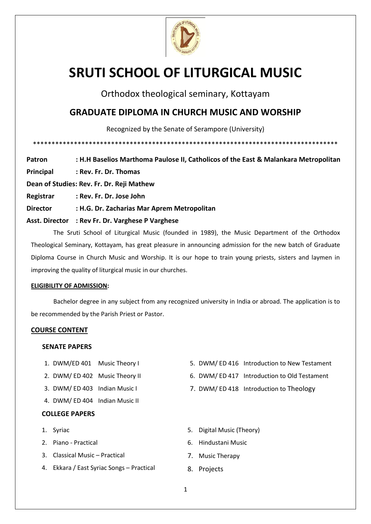

# **SRUTI SCHOOL OF LITURGICAL MUSIC**

Orthodox theological seminary, Kottayam

## **GRADUATE DIPLOMA IN CHURCH MUSIC AND WORSHIP**

Recognized by the Senate of Serampore (University)

\*\*\*\*\*\*\*\*\*\*\*\*\*\*\*\*\*\*\*\*\*\*\*\*\*\*\*\*\*\*\*\*\*\*\*\*\*\*\*\*\*\*\*\*\*\*\*\*\*\*\*\*\*\*\*\*\*\*\*\*\*\*\*\*\*\*\*\*\*\*\*\*\*\*\*\*\*\*\*\*\*\*

**Patron : H.H Baselios Marthoma Paulose II, Catholicos of the East & Malankara Metropolitan Principal : Rev. Fr. Dr. Thomas Dean of Studies: Rev. Fr. Dr. Reji Mathew Registrar : Rev. Fr. Dr. Jose John Director : H.G. Dr. Zacharias Mar Aprem Metropolitan Asst. Director : Rev Fr. Dr. Varghese P Varghese**

The Sruti School of Liturgical Music (founded in 1989), the Music Department of the Orthodox Theological Seminary, Kottayam, has great pleasure in announcing admission for the new batch of Graduate Diploma Course in Church Music and Worship. It is our hope to train young priests, sisters and laymen in improving the quality of liturgical music in our churches.

#### **ELIGIBILITY OF ADMISSION:**

Bachelor degree in any subject from any recognized university in India or abroad. The application is to be recommended by the Parish Priest or Pastor.

#### **COURSE CONTENT**

#### **SENATE PAPERS**

- 1. DWM/ED 401 Music Theory I
- 2. DWM/ ED 402 Music Theory II
- 3. DWM/ ED 403 Indian Music I
- 4. DWM/ ED 404 Indian Music II

#### **COLLEGE PAPERS**

- 1. Syriac
- 2. Piano Practical
- 3. Classical Music Practical
- 4. Ekkara / East Syriac Songs Practical
- 5. DWM/ ED 416 Introduction to New Testament
- 6. DWM/ ED 417 Introduction to Old Testament
- 7. DWM/ ED 418 Introduction to Theology
- 5. Digital Music (Theory)
- 6. Hindustani Music
- 7. Music Therapy
- 8. Projects